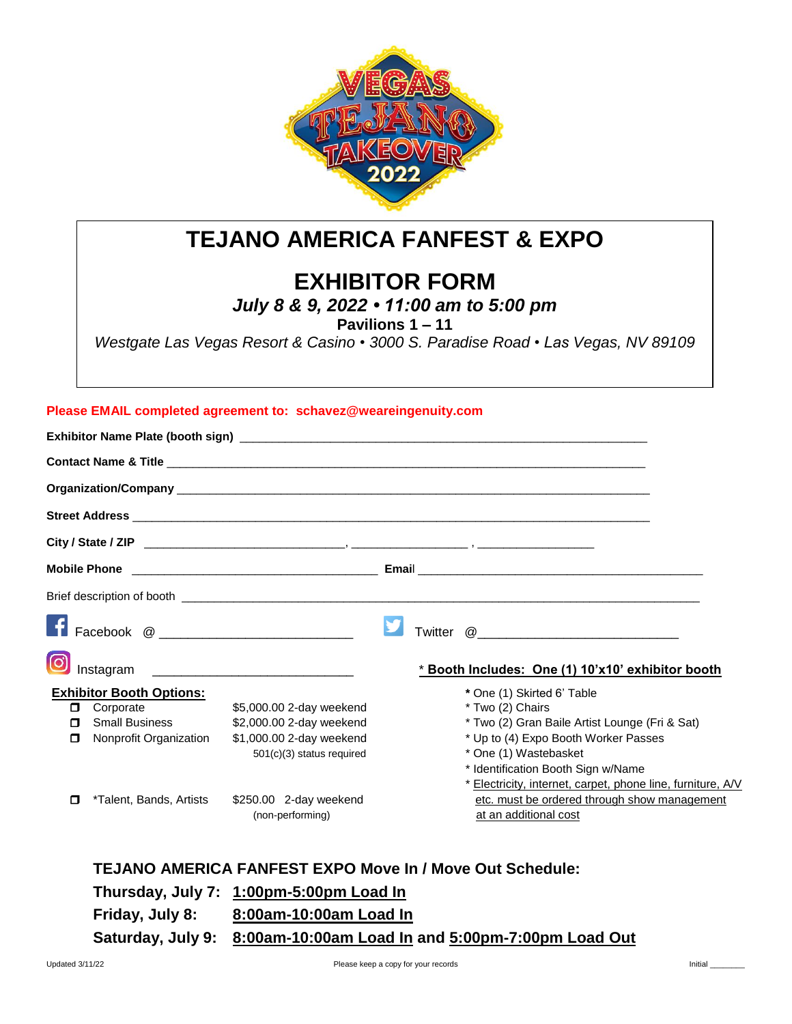

# **TEJANO AMERICA FANFEST & EXPO**

## **EXHIBITOR FORM**

*July 8 & 9, 2022 • 11:00 am to 5:00 pm*

**Pavilions 1 – 11** 

*Westgate Las Vegas Resort & Casino • 3000 S. Paradise Road • Las Vegas, NV 89109*

## **Please EMAIL completed agreement to: schavez@weareingenuity.com**

| Instagram                                                                                                                              |                                                                                  | * Booth Includes: One (1) 10'x10' exhibitor booth                                                                                                                                                   |
|----------------------------------------------------------------------------------------------------------------------------------------|----------------------------------------------------------------------------------|-----------------------------------------------------------------------------------------------------------------------------------------------------------------------------------------------------|
| <b>Exhibitor Booth Options:</b><br>Corporate<br>0<br><b>Small Business</b><br>$\mathbf \Pi$<br>Nonprofit Organization<br>$\mathbf \Pi$ | \$5,000.00 2-day weekend<br>\$2,000.00 2-day weekend<br>\$1,000.00 2-day weekend | * One (1) Skirted 6' Table<br>* Two (2) Chairs<br>* Two (2) Gran Baile Artist Lounge (Fri & Sat)<br>* Up to (4) Expo Booth Worker Passes                                                            |
| *Talent, Bands, Artists<br>$\mathbf \Pi$                                                                                               | 501(c)(3) status required<br>\$250.00 2-day weekend<br>(non-performing)          | * One (1) Wastebasket<br>* Identification Booth Sign w/Name<br>* Electricity, internet, carpet, phone line, furniture, A/V<br>etc. must be ordered through show management<br>at an additional cost |

## **TEJANO AMERICA FANFEST EXPO Move In / Move Out Schedule:**

**Thursday, July 7: 1:00pm-5:00pm Load In Friday, July 8: 8:00am-10:00am Load In Saturday, July 9: 8:00am-10:00am Load In and 5:00pm-7:00pm Load Out**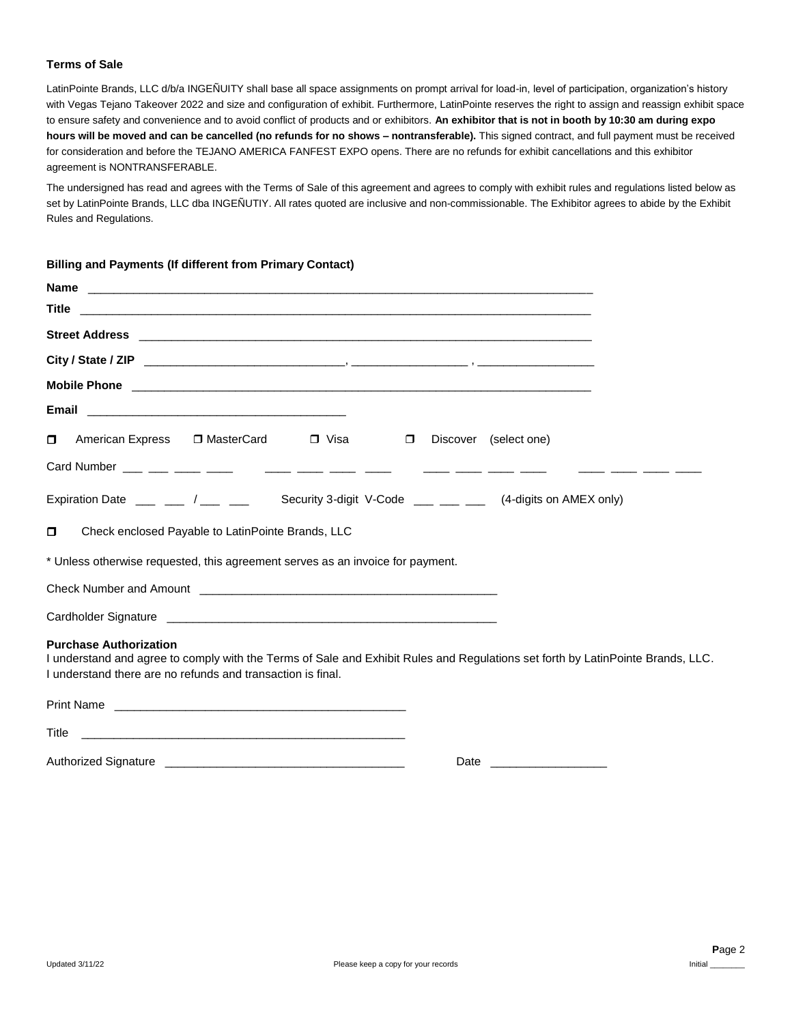### **Terms of Sale**

LatinPointe Brands, LLC d/b/a INGEÑUITY shall base all space assignments on prompt arrival for load-in, level of participation, organization's history with Vegas Tejano Takeover 2022 and size and configuration of exhibit. Furthermore, LatinPointe reserves the right to assign and reassign exhibit space to ensure safety and convenience and to avoid conflict of products and or exhibitors. **An exhibitor that is not in booth by 10:30 am during expo hours will be moved and can be cancelled (no refunds for no shows – nontransferable).** This signed contract, and full payment must be received for consideration and before the TEJANO AMERICA FANFEST EXPO opens. There are no refunds for exhibit cancellations and this exhibitor agreement is NONTRANSFERABLE.

The undersigned has read and agrees with the Terms of Sale of this agreement and agrees to comply with exhibit rules and regulations listed below as set by LatinPointe Brands, LLC dba INGEÑUTIY. All rates quoted are inclusive and non-commissionable. The Exhibitor agrees to abide by the Exhibit Rules and Regulations.

#### **Billing and Payments (If different from Primary Contact)**

| American Express □ MasterCard □ Visa<br>α<br>$\Box$                                                                                                                                                                             | Discover (select one) |
|---------------------------------------------------------------------------------------------------------------------------------------------------------------------------------------------------------------------------------|-----------------------|
|                                                                                                                                                                                                                                 |                       |
| Expiration Date $\frac{1}{2}$ $\frac{1}{2}$ $\frac{1}{2}$ $\frac{1}{2}$ $\frac{1}{2}$<br>Security 3-digit V-Code ___ __ __ (4-digits on AMEX only)                                                                              |                       |
| Check enclosed Payable to LatinPointe Brands, LLC<br>α                                                                                                                                                                          |                       |
| * Unless otherwise requested, this agreement serves as an invoice for payment.                                                                                                                                                  |                       |
|                                                                                                                                                                                                                                 |                       |
|                                                                                                                                                                                                                                 |                       |
| <b>Purchase Authorization</b><br>I understand and agree to comply with the Terms of Sale and Exhibit Rules and Regulations set forth by LatinPointe Brands, LLC.<br>I understand there are no refunds and transaction is final. |                       |
| <b>Print Name</b>                                                                                                                                                                                                               |                       |

| .                    |      |
|----------------------|------|
| Title                |      |
| Authorized Signature | Date |